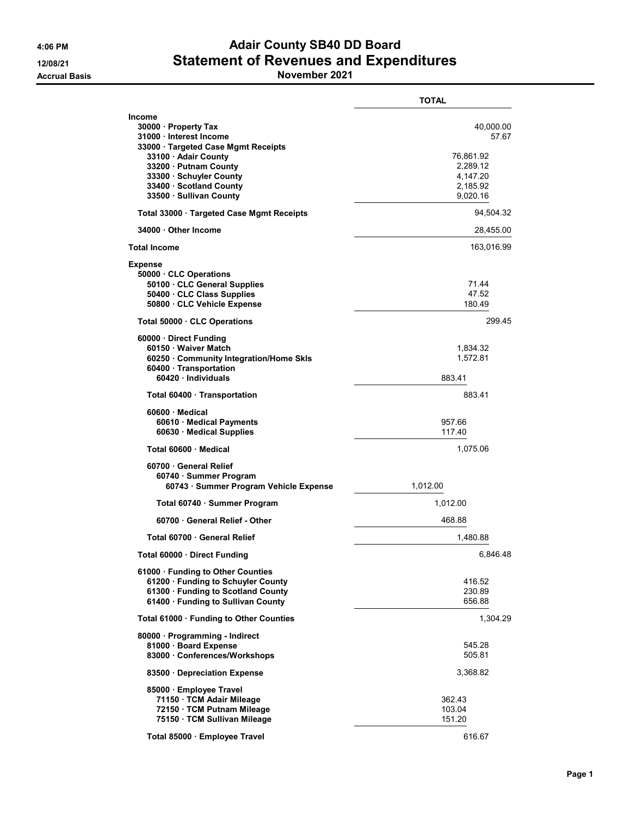## 4:06 PM Adair County SB40 DD Board 12/08/21 Statement of Revenues and Expenditures

Accrual Basis **November 2021** 

|                                                                                                                                                                                                                                  | TOTAL                                                                           |
|----------------------------------------------------------------------------------------------------------------------------------------------------------------------------------------------------------------------------------|---------------------------------------------------------------------------------|
| Income<br>30000 · Property Tax<br>31000 · Interest Income<br>33000 · Targeted Case Mgmt Receipts<br>33100 · Adair County<br>33200 · Putnam County<br>33300 · Schuyler County<br>33400 · Scotland County<br>33500 Sullivan County | 40,000.00<br>57.67<br>76,861.92<br>2,289.12<br>4,147.20<br>2,185.92<br>9,020.16 |
| Total 33000 · Targeted Case Mgmt Receipts                                                                                                                                                                                        | 94,504.32                                                                       |
| 34000 Other Income                                                                                                                                                                                                               | 28,455.00                                                                       |
| <b>Total Income</b>                                                                                                                                                                                                              | 163,016.99                                                                      |
| <b>Expense</b><br>50000 CLC Operations<br>50100 · CLC General Supplies<br>50400 · CLC Class Supplies<br>50800 CLC Vehicle Expense                                                                                                | 71.44<br>47.52<br>180.49                                                        |
| Total 50000 · CLC Operations                                                                                                                                                                                                     | 299.45                                                                          |
| 60000 · Direct Funding<br>60150 Waiver Match<br>60250 · Community Integration/Home Skls<br>60400 · Transportation<br>60420 Individuals                                                                                           | 1,834.32<br>1,572.81<br>883.41                                                  |
| Total 60400 · Transportation                                                                                                                                                                                                     | 883.41                                                                          |
| 60600 Medical<br>60610 · Medical Payments<br>60630 Medical Supplies                                                                                                                                                              | 957.66<br>117.40                                                                |
| Total 60600 · Medical                                                                                                                                                                                                            | 1,075.06                                                                        |
| 60700 General Relief<br>60740 · Summer Program<br>60743 · Summer Program Vehicle Expense                                                                                                                                         | 1,012.00                                                                        |
| Total 60740 · Summer Program                                                                                                                                                                                                     | 1,012.00                                                                        |
| 60700 General Relief - Other                                                                                                                                                                                                     | 468.88                                                                          |
| Total 60700 · General Relief                                                                                                                                                                                                     | 1,480.88                                                                        |
| Total 60000 · Direct Funding                                                                                                                                                                                                     | 6,846.48                                                                        |
| 61000 · Funding to Other Counties<br>61200 · Funding to Schuyler County<br>61300 · Funding to Scotland County<br>61400 · Funding to Sullivan County                                                                              | 416.52<br>230.89<br>656.88                                                      |
| Total 61000 · Funding to Other Counties                                                                                                                                                                                          | 1,304.29                                                                        |
| 80000 · Programming - Indirect<br>81000 Board Expense<br>83000 Conferences/Workshops                                                                                                                                             | 545.28<br>505.81                                                                |
| 83500 Depreciation Expense                                                                                                                                                                                                       | 3,368.82                                                                        |
| 85000 · Employee Travel<br>71150 · TCM Adair Mileage<br>72150 · TCM Putnam Mileage<br>75150 · TCM Sullivan Mileage                                                                                                               | 362.43<br>103.04<br>151.20                                                      |
| Total 85000 · Employee Travel                                                                                                                                                                                                    | 616.67                                                                          |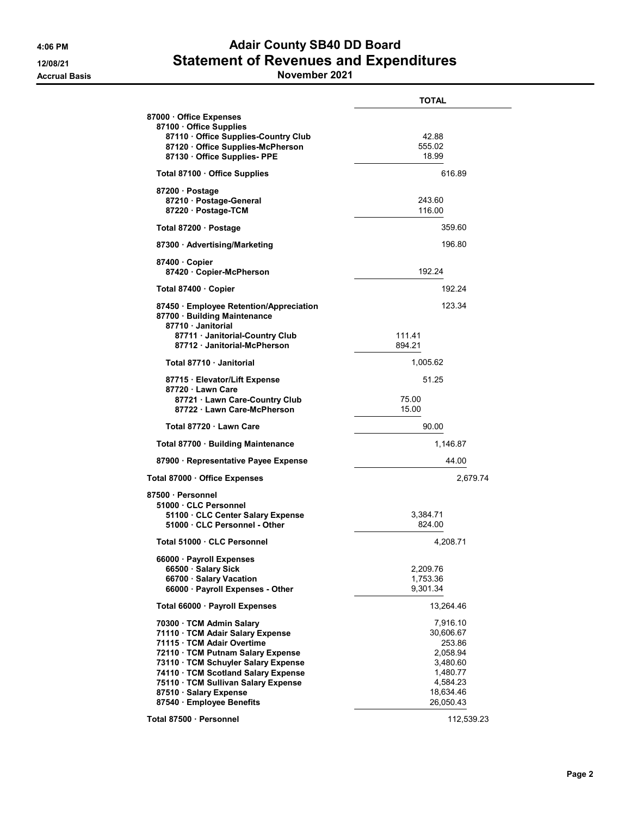## 4:06 PM Adair County SB40 DD Board 12/08/21 Statement of Revenues and Expenditures

Accrual Basis **November 2021** 

|                                                                                             | <b>TOTAL</b>           |
|---------------------------------------------------------------------------------------------|------------------------|
| 87000 Office Expenses<br>87100 Office Supplies                                              |                        |
| 87110 Office Supplies-Country Club                                                          | 42.88                  |
| 87120 Office Supplies-McPherson<br>87130 Office Supplies-PPE                                | 555.02<br>18.99        |
| Total 87100 Office Supplies                                                                 | 616.89                 |
|                                                                                             |                        |
| 87200 Dostage<br>87210 Postage-General                                                      | 243.60                 |
| 87220 · Postage-TCM                                                                         | 116.00                 |
| Total 87200 · Postage                                                                       | 359.60                 |
| 87300 Advertising/Marketing                                                                 | 196.80                 |
| 87400 Copier                                                                                |                        |
| 87420 · Copier-McPherson                                                                    | 192.24                 |
| Total 87400 · Copier                                                                        | 192.24                 |
| 87450 · Employee Retention/Appreciation<br>87700 · Building Maintenance<br>87710 Janitorial | 123.34                 |
| 87711 Janitorial-Country Club                                                               | 111.41                 |
| 87712 · Janitorial-McPherson                                                                | 894.21                 |
| Total 87710 Janitorial                                                                      | 1,005.62               |
| 87715 · Elevator/Lift Expense<br>87720 Lawn Care                                            | 51.25                  |
| 87721 Lawn Care-Country Club                                                                | 75.00                  |
| 87722 Lawn Care-McPherson                                                                   | 15.00                  |
| Total 87720 · Lawn Care                                                                     | 90.00                  |
| Total 87700 · Building Maintenance                                                          | 1,146.87               |
| 87900 · Representative Payee Expense                                                        | 44.00                  |
| Total 87000 Office Expenses                                                                 | 2,679.74               |
| 87500 · Personnel                                                                           |                        |
| 51000 CLC Personnel                                                                         |                        |
| 51100 CLC Center Salary Expense<br>51000 · CLC Personnel - Other                            | 3,384.71<br>824.00     |
|                                                                                             |                        |
| Total 51000 · CLC Personnel                                                                 | 4,208.71               |
| 66000 · Payroll Expenses                                                                    |                        |
| 66500 · Salary Sick                                                                         | 2,209.76               |
| 66700 · Salary Vacation<br>66000 · Payroll Expenses - Other                                 | 1,753.36<br>9,301.34   |
| Total 66000 · Payroll Expenses                                                              | 13,264.46              |
| 70300 · TCM Admin Salary                                                                    | 7,916.10               |
| 71110 · TCM Adair Salary Expense                                                            | 30,606.67              |
| 71115 · TCM Adair Overtime                                                                  | 253.86                 |
| 72110 · TCM Putnam Salary Expense                                                           | 2,058.94               |
| 73110 · TCM Schuyler Salary Expense                                                         | 3,480.60               |
| 74110 · TCM Scotland Salary Expense                                                         | 1,480.77               |
| 75110 · TCM Sullivan Salary Expense                                                         | 4,584.23               |
| 87510 · Salary Expense                                                                      | 18,634.46<br>26,050.43 |
| 87540 · Employee Benefits                                                                   |                        |
| Total 87500 · Personnel                                                                     | 112,539.23             |